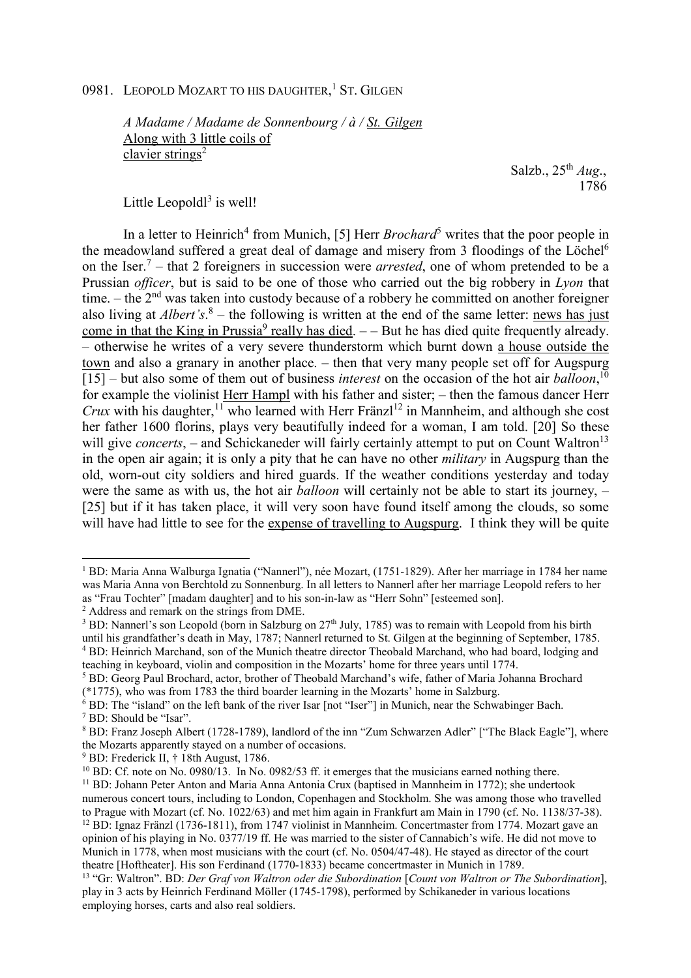## 0981. LEOPOLD MOZART TO HIS DAUGHTER,<sup>1</sup> ST. GILGEN

*A Madame / Madame de Sonnenbourg / à / St. Gilgen*  Along with 3 little coils of clavier strings<sup>2</sup>

 Salzb., 25th *Aug*., 1786

Little Leopold $l^3$  is well!

In a letter to Heinrich<sup>4</sup> from Munich, [5] Herr *Brochard*<sup>5</sup> writes that the poor people in the meadowland suffered a great deal of damage and misery from 3 floodings of the Löchel<sup>6</sup> on the Iser.<sup>7</sup> – that 2 foreigners in succession were *arrested*, one of whom pretended to be a Prussian *officer*, but is said to be one of those who carried out the big robbery in *Lyon* that time.  $-$  the  $2<sup>nd</sup>$  was taken into custody because of a robbery he committed on another foreigner also living at *Albert's*.<sup>8</sup> – the following is written at the end of the same letter: news has just come in that the King in Prussia<sup>9</sup> really has died.  $-$  But he has died quite frequently already. – otherwise he writes of a very severe thunderstorm which burnt down a house outside the town and also a granary in another place. – then that very many people set off for Augspurg [15] – but also some of them out of business *interest* on the occasion of the hot air *balloon*, 10 for example the violinist Herr Hampl with his father and sister; – then the famous dancer Herr *Crux* with his daughter,<sup>11</sup> who learned with Herr Fränzl<sup>12</sup> in Mannheim, and although she cost her father 1600 florins, plays very beautifully indeed for a woman, I am told. [20] So these will give *concerts*, – and Schickaneder will fairly certainly attempt to put on Count Waltron<sup>13</sup> in the open air again; it is only a pity that he can have no other *military* in Augspurg than the old, worn-out city soldiers and hired guards. If the weather conditions yesterday and today were the same as with us, the hot air *balloon* will certainly not be able to start its journey, – [25] but if it has taken place, it will very soon have found itself among the clouds, so some will have had little to see for the expense of travelling to Augspurg. I think they will be quite

 $\overline{a}$ 

<sup>&</sup>lt;sup>1</sup> BD: Maria Anna Walburga Ignatia ("Nannerl"), née Mozart, (1751-1829). After her marriage in 1784 her name was Maria Anna von Berchtold zu Sonnenburg. In all letters to Nannerl after her marriage Leopold refers to her as "Frau Tochter" [madam daughter] and to his son-in-law as "Herr Sohn" [esteemed son].

<sup>2</sup> Address and remark on the strings from DME.

<sup>&</sup>lt;sup>3</sup> BD: Nannerl's son Leopold (born in Salzburg on 27<sup>th</sup> July, 1785) was to remain with Leopold from his birth until his grandfather's death in May, 1787; Nannerl returned to St. Gilgen at the beginning of September, 1785. <sup>4</sup> BD: Heinrich Marchand, son of the Munich theatre director Theobald Marchand, who had board, lodging and teaching in keyboard, violin and composition in the Mozarts' home for three years until 1774.

<sup>&</sup>lt;sup>5</sup> BD: Georg Paul Brochard, actor, brother of Theobald Marchand's wife, father of Maria Johanna Brochard (\*1775), who was from 1783 the third boarder learning in the Mozarts' home in Salzburg.

<sup>6</sup> BD: The "island" on the left bank of the river Isar [not "Iser"] in Munich, near the Schwabinger Bach. 7 BD: Should be "Isar".

<sup>&</sup>lt;sup>8</sup> BD: Franz Joseph Albert (1728-1789), landlord of the inn "Zum Schwarzen Adler" ["The Black Eagle"], where the Mozarts apparently stayed on a number of occasions.

<sup>9</sup> BD: Frederick II, † 18th August, 1786.

<sup>&</sup>lt;sup>10</sup> BD: Cf. note on No. 0980/13. In No. 0982/53 ff. it emerges that the musicians earned nothing there. <sup>11</sup> BD: Johann Peter Anton and Maria Anna Antonia Crux (baptised in Mannheim in 1772); she undertook numerous concert tours, including to London, Copenhagen and Stockholm. She was among those who travelled to Prague with Mozart (cf. No. 1022/63) and met him again in Frankfurt am Main in 1790 (cf. No. 1138/37-38).

<sup>12</sup> BD: Ignaz Fränzl (1736-1811), from 1747 violinist in Mannheim. Concertmaster from 1774. Mozart gave an opinion of his playing in No. 0377/19 ff. He was married to the sister of Cannabich's wife. He did not move to Munich in 1778, when most musicians with the court (cf. No. 0504/47-48). He stayed as director of the court theatre [Hoftheater]. His son Ferdinand (1770-1833) became concertmaster in Munich in 1789.

<sup>13</sup> "Gr: Waltron". BD: *Der Graf von Waltron oder die Subordination* [*Count von Waltron or The Subordination*], play in 3 acts by Heinrich Ferdinand Möller (1745-1798), performed by Schikaneder in various locations employing horses, carts and also real soldiers.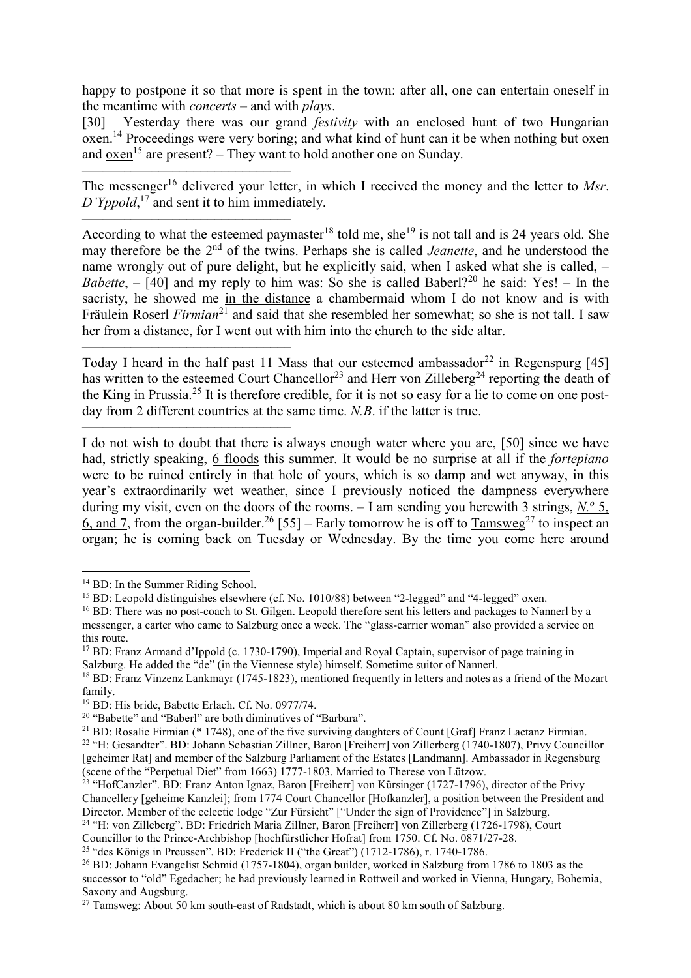happy to postpone it so that more is spent in the town: after all, one can entertain oneself in the meantime with *concerts* – and with *plays*.

[30] Yesterday there was our grand *festivity* with an enclosed hunt of two Hungarian oxen.<sup>14</sup> Proceedings were very boring; and what kind of hunt can it be when nothing but oxen and oxen<sup>15</sup> are present? – They want to hold another one on Sunday.

–––––––––––––––––––––––––––––– The messenger<sup>16</sup> delivered your letter, in which I received the money and the letter to Msr. *D'Yppold*, <sup>17</sup> and sent it to him immediately.

–––––––––––––––––––––––––––––– According to what the esteemed paymaster<sup>18</sup> told me, she<sup>19</sup> is not tall and is 24 years old. She may therefore be the 2nd of the twins. Perhaps she is called *Jeanette*, and he understood the name wrongly out of pure delight, but he explicitly said, when I asked what she is called, – *Babette*,  $-$  [40] and my reply to him was: So she is called Baberl?<sup>20</sup> he said: Yes! – In the sacristy, he showed me in the distance a chambermaid whom I do not know and is with Fräulein Roserl *Firmian*<sup>21</sup> and said that she resembled her somewhat; so she is not tall. I saw her from a distance, for I went out with him into the church to the side altar.

–––––––––––––––––––––––––––––– Today I heard in the half past 11 Mass that our esteemed ambassador<sup>22</sup> in Regenspurg [45] has written to the esteemed Court Chancellor<sup>23</sup> and Herr von Zilleberg<sup>24</sup> reporting the death of the King in Prussia.<sup>25</sup> It is therefore credible, for it is not so easy for a lie to come on one postday from 2 different countries at the same time. *N.B*. if the latter is true.

I do not wish to doubt that there is always enough water where you are, [50] since we have had, strictly speaking, 6 floods this summer. It would be no surprise at all if the *fortepiano* were to be ruined entirely in that hole of yours, which is so damp and wet anyway, in this year's extraordinarily wet weather, since I previously noticed the dampness everywhere during my visit, even on the doors of the rooms. – I am sending you herewith 3 strings, *N.<sup>o</sup>* 5, 6, and 7, from the organ-builder.<sup>26</sup> [55] – Early tomorrow he is off to Tamsweg<sup>27</sup> to inspect an organ; he is coming back on Tuesday or Wednesday. By the time you come here around

l

––––––––––––––––––––––––––––––

<sup>&</sup>lt;sup>14</sup> BD: In the Summer Riding School.

<sup>&</sup>lt;sup>15</sup> BD: Leopold distinguishes elsewhere (cf. No. 1010/88) between "2-legged" and "4-legged" oxen.

<sup>16</sup> BD: There was no post-coach to St. Gilgen. Leopold therefore sent his letters and packages to Nannerl by a messenger, a carter who came to Salzburg once a week. The "glass-carrier woman" also provided a service on this route.

<sup>17</sup> BD: Franz Armand d'Ippold (c. 1730-1790), Imperial and Royal Captain, supervisor of page training in Salzburg. He added the "de" (in the Viennese style) himself. Sometime suitor of Nannerl.

<sup>18</sup> BD: Franz Vinzenz Lankmayr (1745-1823), mentioned frequently in letters and notes as a friend of the Mozart family.

<sup>&</sup>lt;sup>19</sup> BD: His bride, Babette Erlach. Cf. No. 0977/74.

<sup>20</sup> "Babette" and "Baberl" are both diminutives of "Barbara".

<sup>21</sup> BD: Rosalie Firmian (\* 1748), one of the five surviving daughters of Count [Graf] Franz Lactanz Firmian.

<sup>&</sup>lt;sup>22</sup> "H: Gesandter". BD: Johann Sebastian Zillner, Baron [Freiherr] von Zillerberg (1740-1807), Privy Councillor [geheimer Rat] and member of the Salzburg Parliament of the Estates [Landmann]. Ambassador in Regensburg (scene of the "Perpetual Diet" from 1663) 1777-1803. Married to Therese von Lützow.

<sup>&</sup>lt;sup>23</sup> "HofCanzler". BD: Franz Anton Ignaz, Baron [Freiherr] von Kürsinger (1727-1796), director of the Privy Chancellery [geheime Kanzlei]; from 1774 Court Chancellor [Hofkanzler], a position between the President and Director. Member of the eclectic lodge "Zur Fürsicht" ["Under the sign of Providence"] in Salzburg.

<sup>24</sup> "H: von Zilleberg". BD: Friedrich Maria Zillner, Baron [Freiherr] von Zillerberg (1726-1798), Court Councillor to the Prince-Archbishop [hochfürstlicher Hofrat] from 1750. Cf. No. 0871/27-28.

<sup>25</sup> "des Königs in Preussen". BD: Frederick II ("the Great") (1712-1786), r. 1740-1786.

<sup>26</sup> BD: Johann Evangelist Schmid (1757-1804), organ builder, worked in Salzburg from 1786 to 1803 as the successor to "old" Egedacher; he had previously learned in Rottweil and worked in Vienna, Hungary, Bohemia, Saxony and Augsburg.

<sup>&</sup>lt;sup>27</sup> Tamsweg: About 50 km south-east of Radstadt, which is about 80 km south of Salzburg.